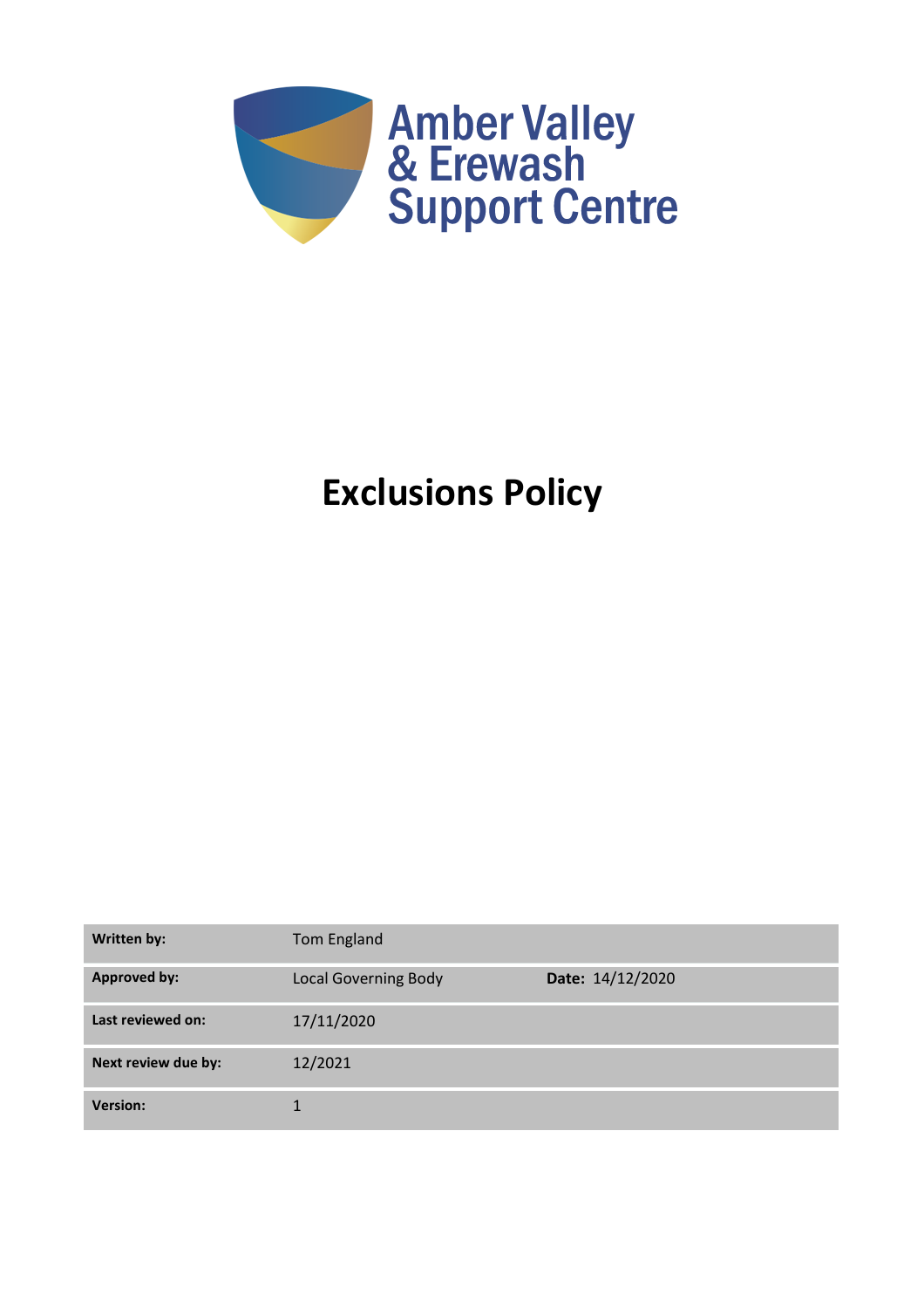

# **Exclusions Policy**

| <b>Written by:</b>  | Tom England                 |                  |
|---------------------|-----------------------------|------------------|
| <b>Approved by:</b> | <b>Local Governing Body</b> | Date: 14/12/2020 |
| Last reviewed on:   | 17/11/2020                  |                  |
| Next review due by: | 12/2021                     |                  |
| <b>Version:</b>     | 1                           |                  |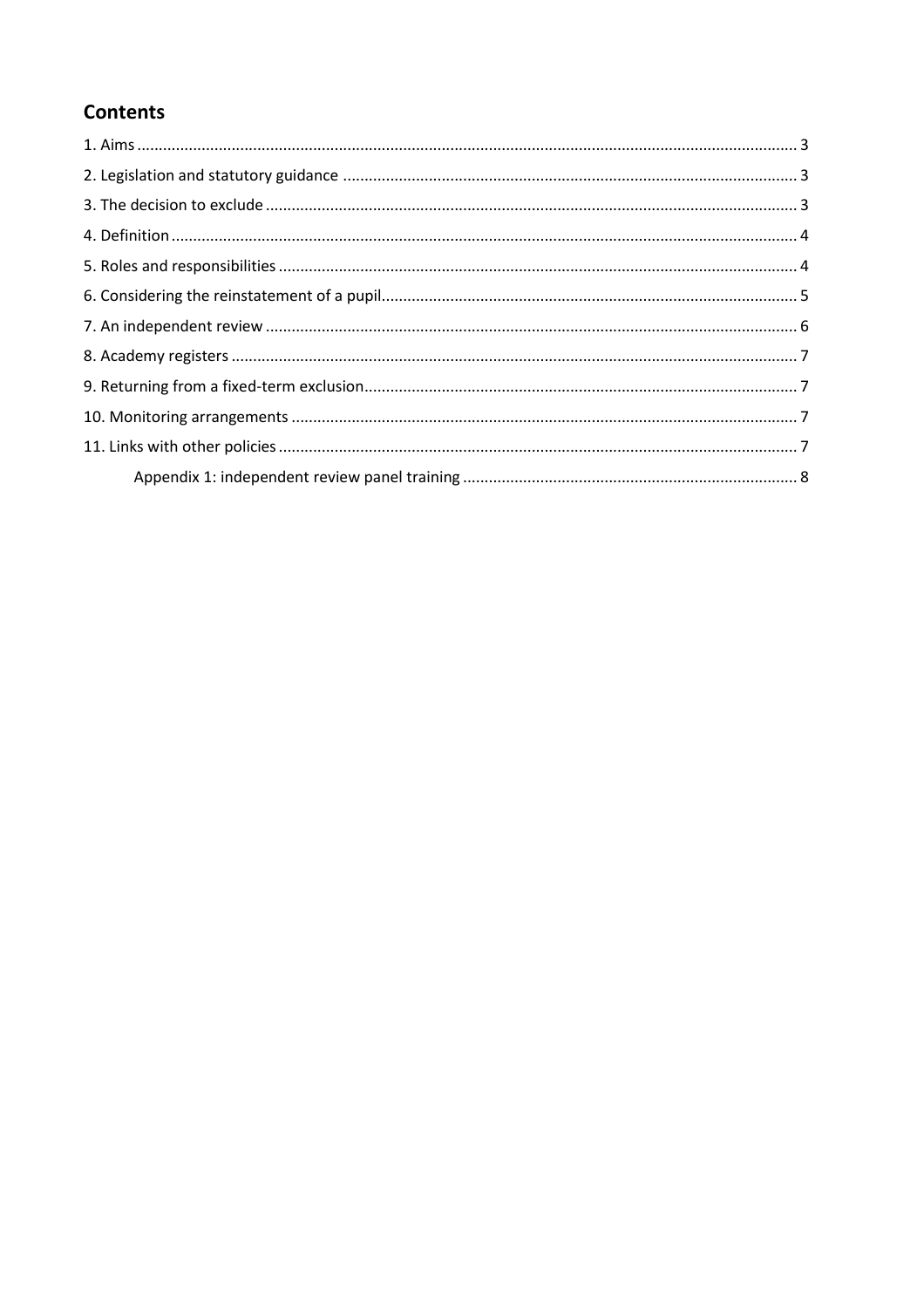# **Contents**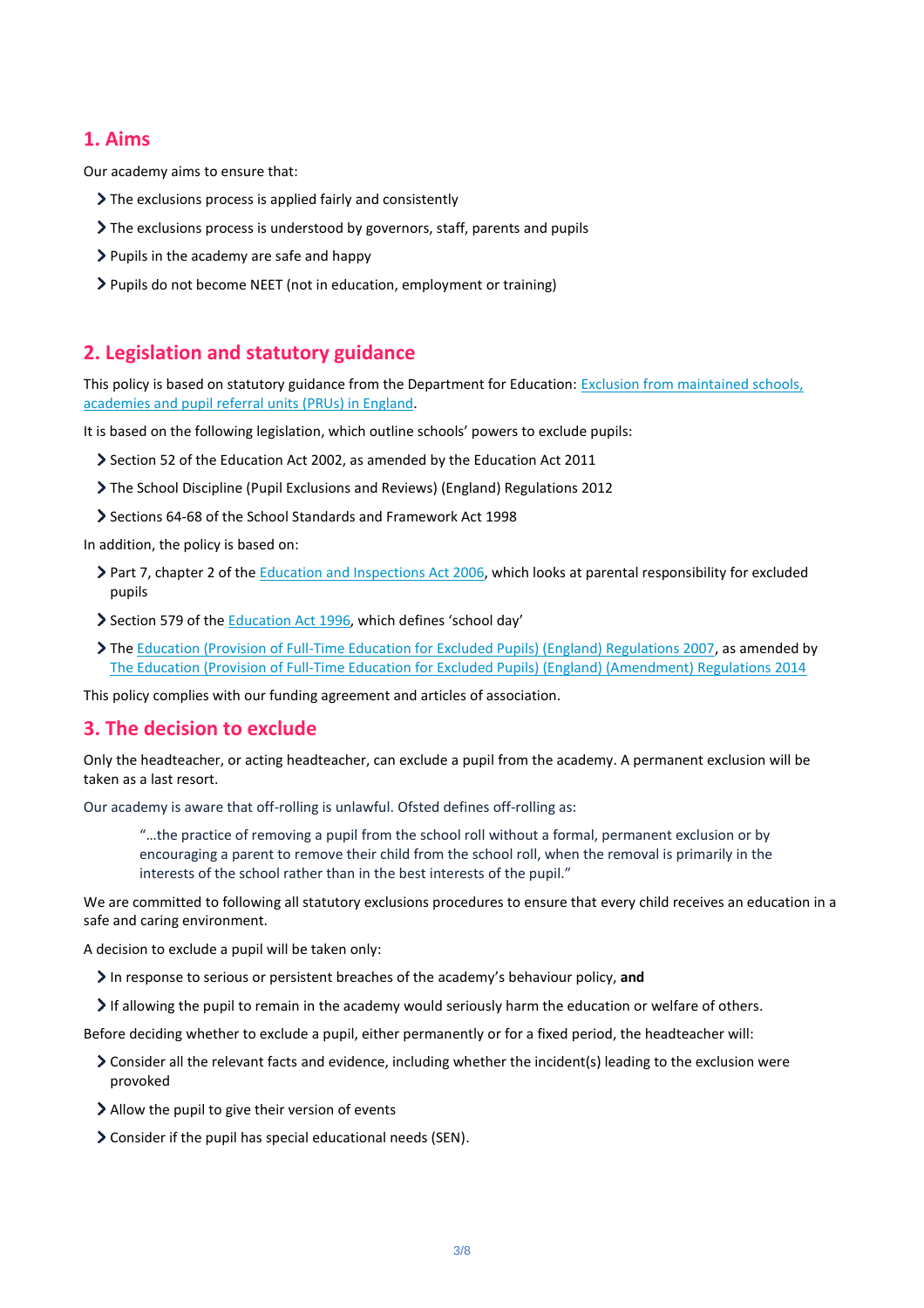## **1. Aims**

Our academy aims to ensure that:

- The exclusions process is applied fairly and consistently
- The exclusions process is understood by governors, staff, parents and pupils
- Pupils in the academy are safe and happy
- Pupils do not become NEET (not in education, employment or training)

## **2. Legislation and statutory guidance**

This policy is based on statutory guidance from the Department for Education: Exclusion from maintained schools, [academies and pupil referral units \(PRUs\) in England.](https://www.gov.uk/government/publications/school-exclusion)

It is based on the following legislation, which outline schools' powers to exclude pupils:

- Section 52 of the [Education Act 2002,](http://www.legislation.gov.uk/ukpga/2002/32/section/52) as amended by the [Education Act 2011](http://www.legislation.gov.uk/ukpga/2011/21/contents/enacted)
- [The School Discipline \(Pupil Exclusions and Reviews\) \(England\) Regulations 2012](http://www.legislation.gov.uk/uksi/2012/1033/made)
- Sections 64-68 of the [School Standards and Framework Act 1998](http://www.legislation.gov.uk/ukpga/1998/31)

In addition, the policy is based on:

- Part 7, chapter 2 of the [Education and Inspections Act 2006,](http://www.legislation.gov.uk/ukpga/2006/40/part/7/chapter/2) which looks at parental responsibility for excluded pupils
- Section 579 of the **Education Act 1996**, which defines 'school day'
- The [Education \(Provision of Full-Time Education for Excluded Pupils\) \(England\) Regulations 2007,](http://www.legislation.gov.uk/uksi/2007/1870/contents/made) as amended by [The Education \(Provision of Full-Time Education for Excluded Pupils\) \(England\) \(Amendment\) Regulations 2014](http://www.legislation.gov.uk/uksi/2014/3216/contents/made)

This policy complies with our funding agreement and articles of association.

#### **3. The decision to exclude**

Only the headteacher, or acting headteacher, can exclude a pupil from the academy. A permanent exclusion will be taken as a last resort.

Our academy is aware that off-rolling is unlawful. Ofsted defines off-rolling as:

"…the practice of removing a pupil from the school roll without a formal, permanent exclusion or by encouraging a parent to remove their child from the school roll, when the removal is primarily in the interests of the school rather than in the best interests of the pupil."

We are committed to following all statutory exclusions procedures to ensure that every child receives an education in a safe and caring environment.

A decision to exclude a pupil will be taken only:

- In response to serious or persistent breaches of the academy's behaviour policy, **and**
- If allowing the pupil to remain in the academy would seriously harm the education or welfare of others.

Before deciding whether to exclude a pupil, either permanently or for a fixed period, the headteacher will:

- Consider all the relevant facts and evidence, including whether the incident(s) leading to the exclusion were provoked
- Allow the pupil to give their version of events
- Consider if the pupil has special educational needs (SEN).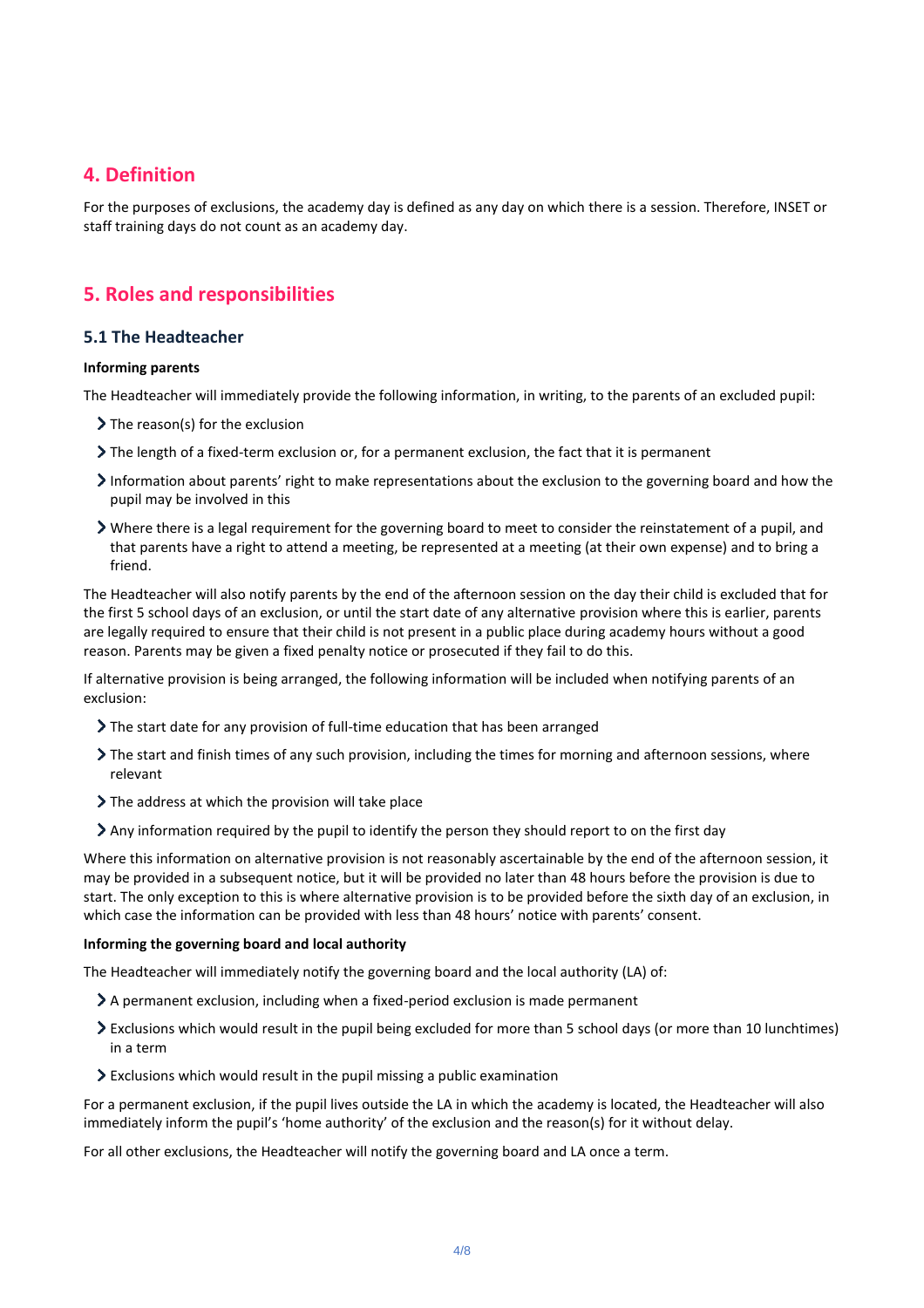## **4. Definition**

For the purposes of exclusions, the academy day is defined as any day on which there is a session. Therefore, INSET or staff training days do not count as an academy day.

# **5. Roles and responsibilities**

#### **5.1 The Headteacher**

#### **Informing parents**

The Headteacher will immediately provide the following information, in writing, to the parents of an excluded pupil:

- $\triangleright$  The reason(s) for the exclusion
- The length of a fixed-term exclusion or, for a permanent exclusion, the fact that it is permanent
- Information about parents' right to make representations about the exclusion to the governing board and how the pupil may be involved in this
- Where there is a legal requirement for the governing board to meet to consider the reinstatement of a pupil, and that parents have a right to attend a meeting, be represented at a meeting (at their own expense) and to bring a friend.

The Headteacher will also notify parents by the end of the afternoon session on the day their child is excluded that for the first 5 school days of an exclusion, or until the start date of any alternative provision where this is earlier, parents are legally required to ensure that their child is not present in a public place during academy hours without a good reason. Parents may be given a fixed penalty notice or prosecuted if they fail to do this.

If alternative provision is being arranged, the following information will be included when notifying parents of an exclusion:

- The start date for any provision of full-time education that has been arranged
- The start and finish times of any such provision, including the times for morning and afternoon sessions, where relevant
- $\sum$  The address at which the provision will take place
- $\geq$  Any information required by the pupil to identify the person they should report to on the first day

Where this information on alternative provision is not reasonably ascertainable by the end of the afternoon session, it may be provided in a subsequent notice, but it will be provided no later than 48 hours before the provision is due to start. The only exception to this is where alternative provision is to be provided before the sixth day of an exclusion, in which case the information can be provided with less than 48 hours' notice with parents' consent.

#### **Informing the governing board and local authority**

The Headteacher will immediately notify the governing board and the local authority (LA) of:

- A permanent exclusion, including when a fixed-period exclusion is made permanent
- Exclusions which would result in the pupil being excluded for more than 5 school days (or more than 10 lunchtimes) in a term
- Exclusions which would result in the pupil missing a public examination

For a permanent exclusion, if the pupil lives outside the LA in which the academy is located, the Headteacher will also immediately inform the pupil's 'home authority' of the exclusion and the reason(s) for it without delay.

For all other exclusions, the Headteacher will notify the governing board and LA once a term.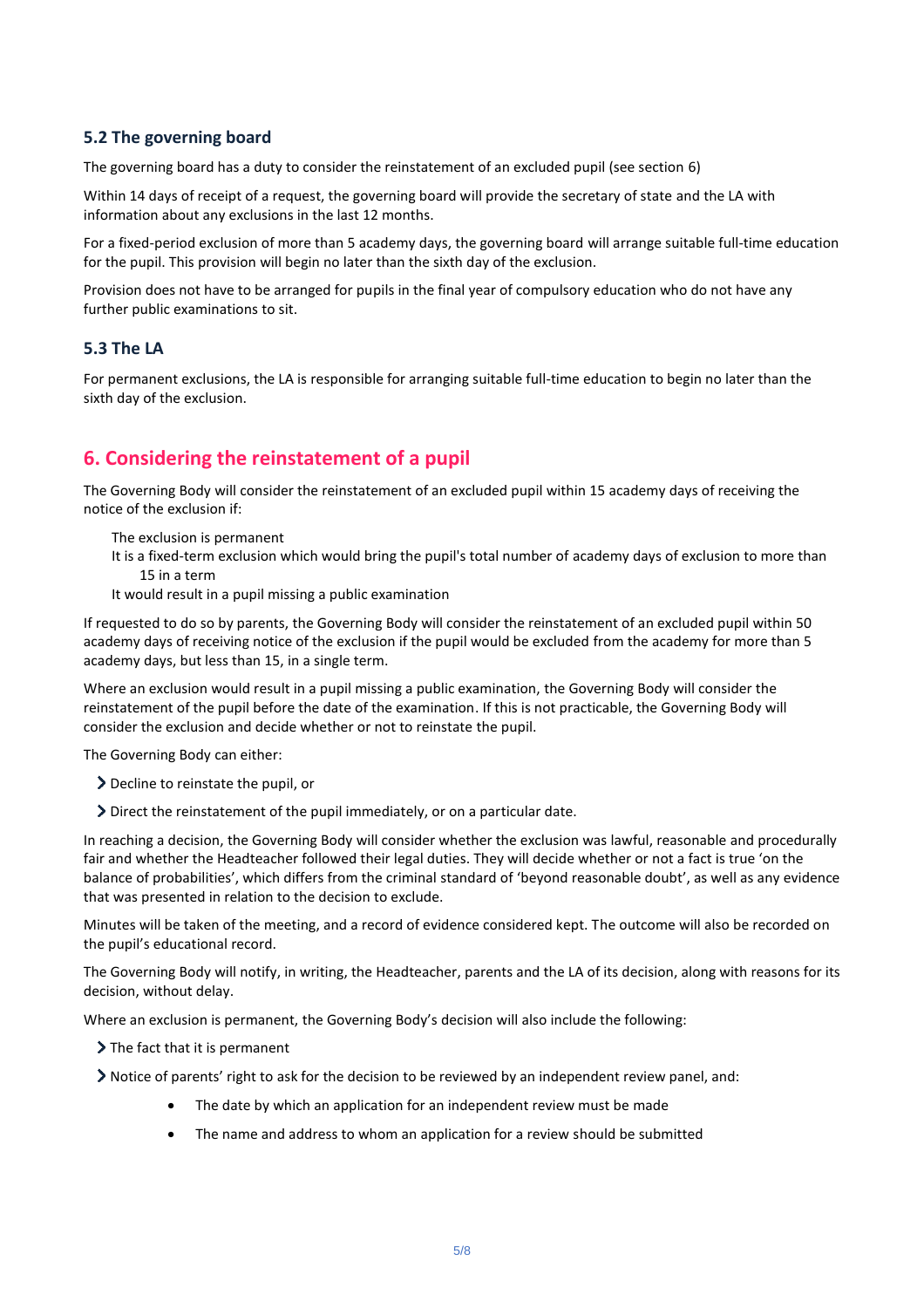#### **5.2 The governing board**

The governing board has a duty to consider the reinstatement of an excluded pupil (see section 6)

Within 14 days of receipt of a request, the governing board will provide the secretary of state and the LA with information about any exclusions in the last 12 months.

For a fixed-period exclusion of more than 5 academy days, the governing board will arrange suitable full-time education for the pupil. This provision will begin no later than the sixth day of the exclusion.

Provision does not have to be arranged for pupils in the final year of compulsory education who do not have any further public examinations to sit.

#### **5.3 The LA**

For permanent exclusions, the LA is responsible for arranging suitable full-time education to begin no later than the sixth day of the exclusion.

# **6. Considering the reinstatement of a pupil**

The Governing Body will consider the reinstatement of an excluded pupil within 15 academy days of receiving the notice of the exclusion if:

The exclusion is permanent

It is a fixed-term exclusion which would bring the pupil's total number of academy days of exclusion to more than 15 in a term

It would result in a pupil missing a public examination

If requested to do so by parents, the Governing Body will consider the reinstatement of an excluded pupil within 50 academy days of receiving notice of the exclusion if the pupil would be excluded from the academy for more than 5 academy days, but less than 15, in a single term.

Where an exclusion would result in a pupil missing a public examination, the Governing Body will consider the reinstatement of the pupil before the date of the examination. If this is not practicable, the Governing Body will consider the exclusion and decide whether or not to reinstate the pupil.

The Governing Body can either:

- Decline to reinstate the pupil, or
- Direct the reinstatement of the pupil immediately, or on a particular date.

In reaching a decision, the Governing Body will consider whether the exclusion was lawful, reasonable and procedurally fair and whether the Headteacher followed their legal duties. They will decide whether or not a fact is true 'on the balance of probabilities', which differs from the criminal standard of 'beyond reasonable doubt', as well as any evidence that was presented in relation to the decision to exclude.

Minutes will be taken of the meeting, and a record of evidence considered kept. The outcome will also be recorded on the pupil's educational record.

The Governing Body will notify, in writing, the Headteacher, parents and the LA of its decision, along with reasons for its decision, without delay.

Where an exclusion is permanent, the Governing Body's decision will also include the following:

> The fact that it is permanent

Notice of parents' right to ask for the decision to be reviewed by an independent review panel, and:

- The date by which an application for an independent review must be made
- The name and address to whom an application for a review should be submitted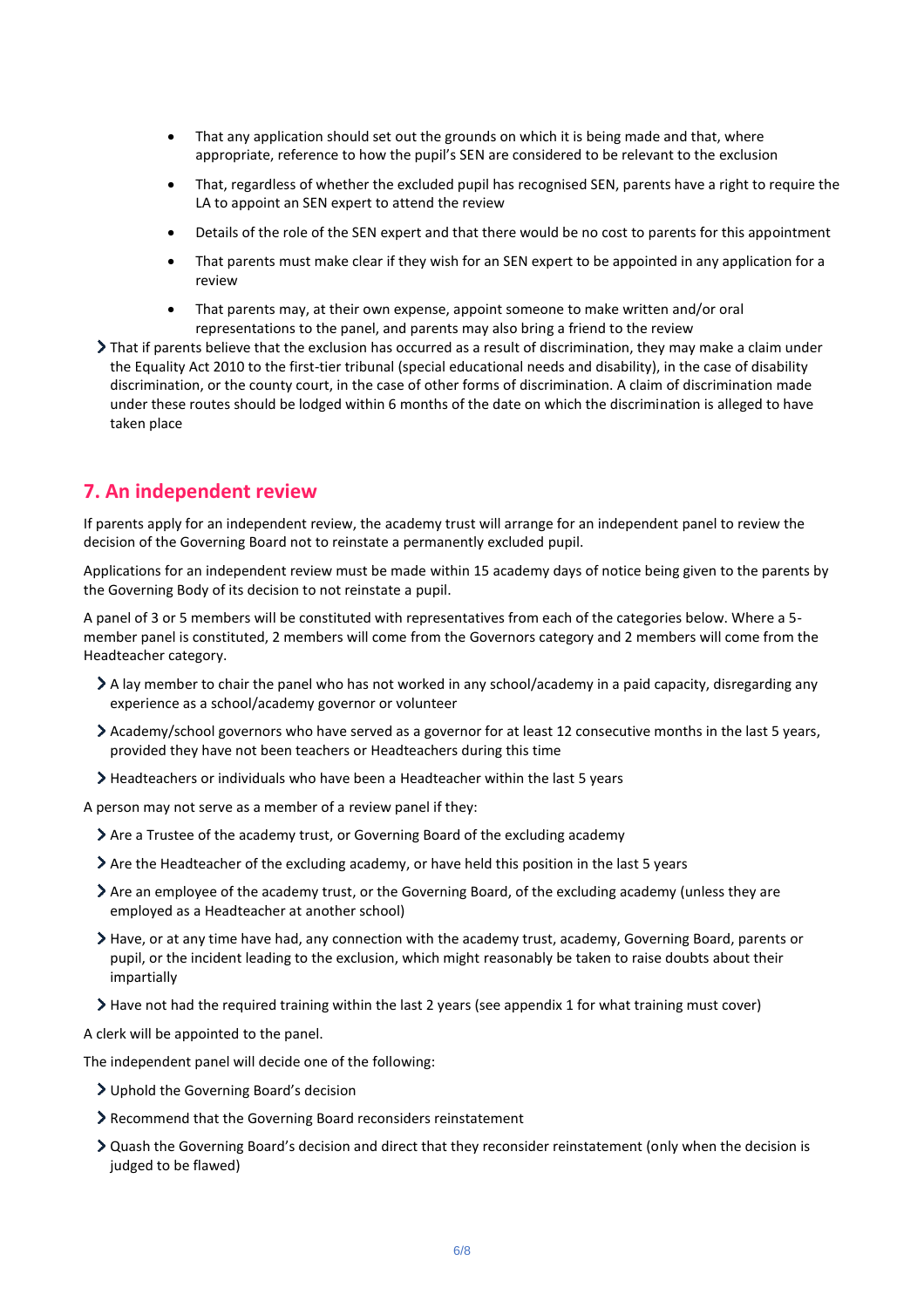- That any application should set out the grounds on which it is being made and that, where appropriate, reference to how the pupil's SEN are considered to be relevant to the exclusion
- That, regardless of whether the excluded pupil has recognised SEN, parents have a right to require the LA to appoint an SEN expert to attend the review
- Details of the role of the SEN expert and that there would be no cost to parents for this appointment
- That parents must make clear if they wish for an SEN expert to be appointed in any application for a review
- That parents may, at their own expense, appoint someone to make written and/or oral representations to the panel, and parents may also bring a friend to the review
- That if parents believe that the exclusion has occurred as a result of discrimination, they may make a claim under the Equality Act 2010 to the first-tier tribunal (special educational needs and disability), in the case of disability discrimination, or the county court, in the case of other forms of discrimination. A claim of discrimination made under these routes should be lodged within 6 months of the date on which the discrimination is alleged to have taken place

# **7. An independent review**

If parents apply for an independent review, the academy trust will arrange for an independent panel to review the decision of the Governing Board not to reinstate a permanently excluded pupil.

Applications for an independent review must be made within 15 academy days of notice being given to the parents by the Governing Body of its decision to not reinstate a pupil.

A panel of 3 or 5 members will be constituted with representatives from each of the categories below. Where a 5 member panel is constituted, 2 members will come from the Governors category and 2 members will come from the Headteacher category.

- A lay member to chair the panel who has not worked in any school/academy in a paid capacity, disregarding any experience as a school/academy governor or volunteer
- Academy/school governors who have served as a governor for at least 12 consecutive months in the last 5 years, provided they have not been teachers or Headteachers during this time
- Headteachers or individuals who have been a Headteacher within the last 5 years

A person may not serve as a member of a review panel if they:

- Are a Trustee of the academy trust, or Governing Board of the excluding academy
- Are the Headteacher of the excluding academy, or have held this position in the last 5 years
- Are an employee of the academy trust, or the Governing Board, of the excluding academy (unless they are employed as a Headteacher at another school)
- Have, or at any time have had, any connection with the academy trust, academy, Governing Board, parents or pupil, or the incident leading to the exclusion, which might reasonably be taken to raise doubts about their impartially
- Have not had the required training within the last 2 years (see appendix 1 for what training must cover)

A clerk will be appointed to the panel.

The independent panel will decide one of the following:

- Uphold the Governing Board's decision
- Recommend that the Governing Board reconsiders reinstatement
- Quash the Governing Board's decision and direct that they reconsider reinstatement (only when the decision is judged to be flawed)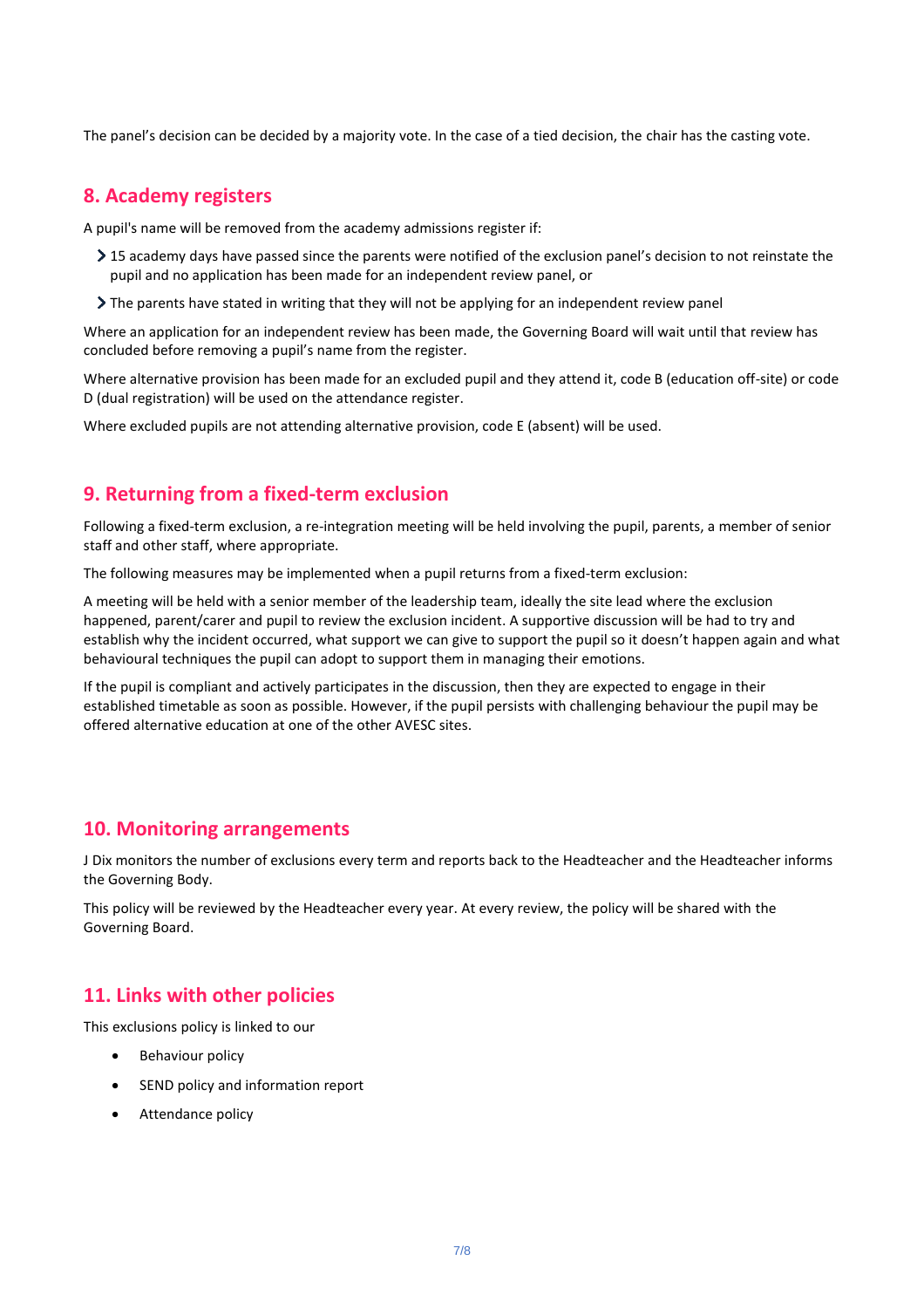The panel's decision can be decided by a majority vote. In the case of a tied decision, the chair has the casting vote.

# **8. Academy registers**

A pupil's name will be removed from the academy admissions register if:

- ▶ 15 academy days have passed since the parents were notified of the exclusion panel's decision to not reinstate the pupil and no application has been made for an independent review panel, or
- The parents have stated in writing that they will not be applying for an independent review panel

Where an application for an independent review has been made, the Governing Board will wait until that review has concluded before removing a pupil's name from the register.

Where alternative provision has been made for an excluded pupil and they attend it, code B (education off-site) or code D (dual registration) will be used on the attendance register.

Where excluded pupils are not attending alternative provision, code E (absent) will be used.

# **9. Returning from a fixed-term exclusion**

Following a fixed-term exclusion, a re-integration meeting will be held involving the pupil, parents, a member of senior staff and other staff, where appropriate.

The following measures may be implemented when a pupil returns from a fixed-term exclusion:

A meeting will be held with a senior member of the leadership team, ideally the site lead where the exclusion happened, parent/carer and pupil to review the exclusion incident. A supportive discussion will be had to try and establish why the incident occurred, what support we can give to support the pupil so it doesn't happen again and what behavioural techniques the pupil can adopt to support them in managing their emotions.

If the pupil is compliant and actively participates in the discussion, then they are expected to engage in their established timetable as soon as possible. However, if the pupil persists with challenging behaviour the pupil may be offered alternative education at one of the other AVESC sites.

## **10. Monitoring arrangements**

J Dix monitors the number of exclusions every term and reports back to the Headteacher and the Headteacher informs the Governing Body.

This policy will be reviewed by the Headteacher every year. At every review, the policy will be shared with the Governing Board.

# **11. Links with other policies**

This exclusions policy is linked to our

- Behaviour policy
- SEND policy and information report
- Attendance policy